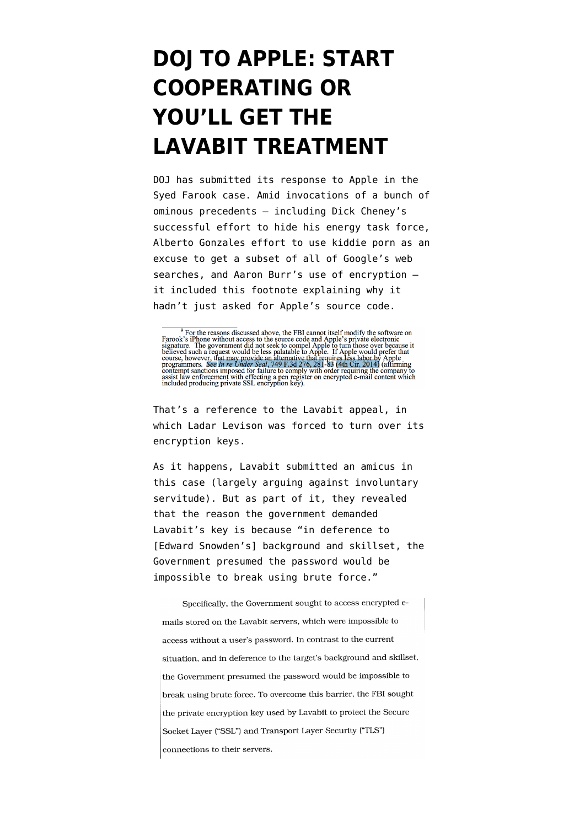## **[DOJ TO APPLE: START](https://www.emptywheel.net/2016/03/10/doj-to-apple-start-cooperating-or-youll-get-the-lavabit-treatment/) [COOPERATING OR](https://www.emptywheel.net/2016/03/10/doj-to-apple-start-cooperating-or-youll-get-the-lavabit-treatment/) [YOU'LL GET THE](https://www.emptywheel.net/2016/03/10/doj-to-apple-start-cooperating-or-youll-get-the-lavabit-treatment/) [LAVABIT TREATMENT](https://www.emptywheel.net/2016/03/10/doj-to-apple-start-cooperating-or-youll-get-the-lavabit-treatment/)**

DOJ has submitted its [response](https://www.justsecurity.org/wp-content/uploads/2016/03/FBI-Apple-CDCal-Govt-Reply.pdf) to Apple in the Syed Farook case. Amid invocations of a bunch of ominous precedents — including Dick Cheney's successful effort to hide his energy task force, Alberto Gonzales effort to use kiddie porn as an excuse to get a subset of all of Google's web searches, and Aaron Burr's use of encryption it included this footnote explaining why it hadn't just asked for Apple's source code.

That's a reference to the [Lavabit appeal,](http://www.clearinghouse.net/detailDocument.php?id=69557) in which Ladar Levison was forced to turn over its encryption keys.

As it happens, Lavabit submitted an [amicus](http://images.apple.com/pr/pdf/Lavabit.pdf) in this case (largely arguing against involuntary servitude). But as part of it, they revealed that the reason the government demanded Lavabit's key is because "in deference to [Edward Snowden's] background and skillset, the Government presumed the password would be impossible to break using brute force."

Specifically, the Government sought to access encrypted emails stored on the Lavabit servers, which were impossible to access without a user's password. In contrast to the current situation, and in deference to the target's background and skillset, the Government presumed the password would be impossible to break using brute force. To overcome this barrier, the FBI sought the private encryption key used by Lavabit to protect the Secure Socket Layer ("SSL") and Transport Layer Security ("TLS") connections to their servers.

<sup>&</sup>lt;sup>9</sup> For the reasons discussed above, the FBI cannot itself modify the software on Farook's iPhone without access to the source code and Apple's private electronic signature. The government did not seek to compel Apple to